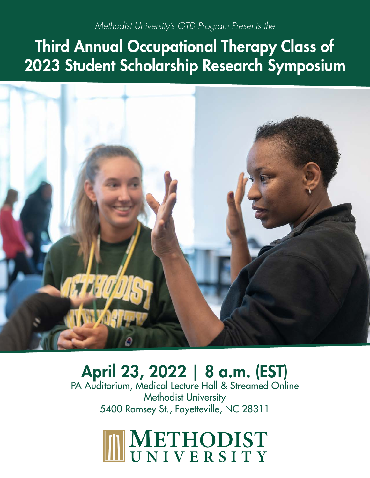# *Methodist University's OTD Program Presents the*

# Third Annual Occupational Therapy Class of 2023 Student Scholarship Research Symposium



# April 23, 2022 | 8 a.m. (EST)

PA Auditorium, Medical Lecture Hall & Streamed Online Methodist University 5400 Ramsey St., Fayetteville, NC 28311

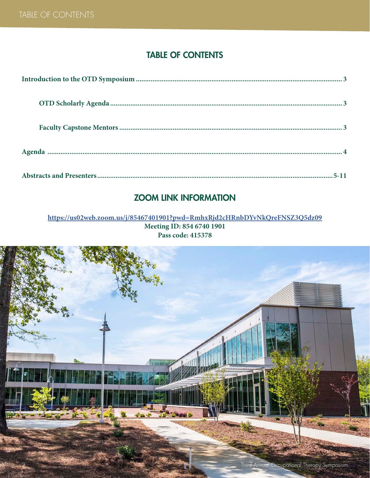## TABLE OF CONTENTS

## ZOOM LINK INFORMATION

#### **https://us02web.zoom.us/j/85467401901?pwd=RmhxRjd2cHRnbDYvNkQreFNSZ3Q5dz09 Meeting ID: 854 6740 1901 Pass code: 415378**

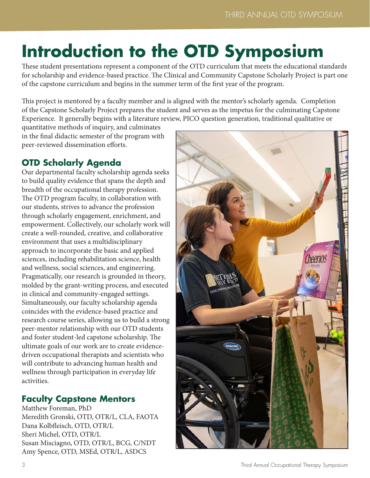# **Introduction to the OTD Symposium**

These student presentations represent a component of the OTD curriculum that meets the educational standards for scholarship and evidence-based practice. The Clinical and Community Capstone Scholarly Project is part one of the capstone curriculum and begins in the summer term of the first year of the program.

This project is mentored by a faculty member and is aligned with the mentor's scholarly agenda. Completion of the Capstone Scholarly Project prepares the student and serves as the impetus for the culminating Capstone Experience. It generally begins with a literature review, PICO question generation, traditional qualitative or

quantitative methods of inquiry, and culminates in the final didactic semester of the program with peer-reviewed dissemination efforts.

# **OTD Scholarly Agenda**

Our departmental faculty scholarship agenda seeks to build quality evidence that spans the depth and breadth of the occupational therapy profession. The OTD program faculty, in collaboration with our students, strives to advance the profession through scholarly engagement, enrichment, and empowerment. Collectively, our scholarly work will create a well-rounded, creative, and collaborative environment that uses a multidisciplinary approach to incorporate the basic and applied sciences, including rehabilitation science, health and wellness, social sciences, and engineering. Pragmatically, our research is grounded in theory, molded by the grant-writing process, and executed in clinical and community-engaged settings. Simultaneously, our faculty scholarship agenda coincides with the evidence-based practice and research course series, allowing us to build a strong peer-mentor relationship with our OTD students and foster student-led capstone scholarship. The ultimate goals of our work are to create evidencedriven occupational therapists and scientists who will contribute to advancing human health and wellness through participation in everyday life activities.

## **Faculty Capstone Mentors**

Matthew Foreman, PhD Meredith Gronski, OTD, OTR/L, CLA, FAOTA Dana Kolbfleisch, OTD, OTR/L Sheri Michel, OTD, OTR/L Susan Misciagno, OTD, OTR/L, BCG, C/NDT Amy Spence, OTD, MSEd, OTR/L, ASDCS

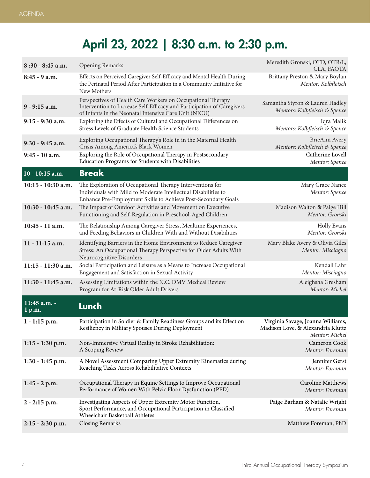# April 23, 2022 | 8:30 a.m. to 2:30 p.m.

| $8:30 - 8:45$ a.m.       | <b>Opening Remarks</b>                                                                                                                                                                         | Meredith Gronski, OTD, OTR/L,<br>CLA, FAOTA                                              |
|--------------------------|------------------------------------------------------------------------------------------------------------------------------------------------------------------------------------------------|------------------------------------------------------------------------------------------|
| $8:45 - 9$ a.m.          | Effects on Perceived Caregiver Self-Efficacy and Mental Health During<br>the Perinatal Period After Participation in a Community Initiative for<br>New Mothers                                 | Brittany Preston & Mary Boylan<br>Mentor: Kolbfleisch                                    |
| 9 - 9:15 a.m.            | Perspectives of Health Care Workers on Occupational Therapy<br>Intervention to Increase Self-Efficacy and Participation of Caregivers<br>of Infants in the Neonatal Intensive Care Unit (NICU) | Samantha Styron & Lauren Hadley<br>Mentors: Kolbfleisch & Spence                         |
| $9:15 - 9:30$ a.m.       | Exploring the Effects of Cultural and Occupational Differences on<br>Stress Levels of Graduate Health Science Students                                                                         | Iqra Malik<br>Mentors: Kolbfleisch & Spence                                              |
| 9:30 - 9:45 a.m.         | Exploring Occupational Therapy's Role in in the Maternal Health<br>Crisis Among America's Black Women                                                                                          | BrieAnn Avery<br>Mentors: Kolbfleisch & Spence                                           |
| $9:45 - 10$ a.m.         | Exploring the Role of Occupational Therapy in Postsecondary<br>Education Programs for Students with Disabilities                                                                               | Catherine Lovell<br>Mentor: Spence                                                       |
| $10 - 10:15$ a.m.        | <b>Break</b>                                                                                                                                                                                   |                                                                                          |
| $10:15 - 10:30$ a.m.     | The Exploration of Occupational Therapy Interventions for<br>Individuals with Mild to Moderate Intellectual Disabilities to<br>Enhance Pre-Employment Skills to Achieve Post-Secondary Goals   | Mary Grace Nance<br>Mentor: Spence                                                       |
| 10:30 - 10:45 a.m.       | The Impact of Outdoor Activities and Movement on Executive<br>Functioning and Self-Regulation in Preschool-Aged Children                                                                       | Madison Walton & Paige Hill<br>Mentor: Gronski                                           |
| $10:45 - 11$ a.m.        | The Relationship Among Caregiver Stress, Mealtime Experiences,<br>and Feeding Behaviors in Children With and Without Disabilities                                                              | Holly Evans<br>Mentor: Gronski                                                           |
| $11 - 11:15$ a.m.        | Identifying Barriers in the Home Environment to Reduce Caregiver<br>Stress: An Occupational Therapy Perspective for Older Adults With<br>Neurocognitive Disorders                              | Mary Blake Avery & Olivia Giles<br>Mentor: Misciagno                                     |
| $11:15 - 11:30$ a.m.     | Social Participation and Leisure as a Means to Increase Occupational<br>Engagement and Satisfaction in Sexual Activity                                                                         | Kendall Lahr<br>Mentor: Misciagno                                                        |
| 11:30 - 11:45 a.m.       | Assessing Limitations within the N.C. DMV Medical Review<br>Program for At-Risk Older Adult Drivers                                                                                            | Aleighsha Gresham<br>Mentor: Michel                                                      |
| 11:45 a.m. -<br>$1$ p.m. | Lunch                                                                                                                                                                                          |                                                                                          |
| $1 - 1:15$ p.m.          | Participation in Soldier & Family Readiness Groups and its Effect on<br>Resiliency in Military Spouses During Deployment                                                                       | Virginia Savage, Joanna Williams,<br>Madison Love, & Alexandria Kluttz<br>Mentor: Michel |
| $1:15 - 1:30$ p.m.       | Non-Immersive Virtual Reality in Stroke Rehabilitation:<br>A Scoping Review                                                                                                                    | Cameron Cook<br>Mentor: Foreman                                                          |
| $1:30 - 1:45$ p.m.       | A Novel Assessment Comparing Upper Extremity Kinematics during<br>Reaching Tasks Across Rehabilitative Contexts                                                                                | Jennifer Gerst<br>Mentor: Foreman                                                        |
| $1:45 - 2 p.m.$          | Occupational Therapy in Equine Settings to Improve Occupational<br>Performance of Women With Pelvic Floor Dysfunction (PFD)                                                                    | <b>Caroline Matthews</b><br>Mentor: Foreman                                              |
| $2 - 2:15$ p.m.          | Investigating Aspects of Upper Extremity Motor Function,<br>Sport Performance, and Occupational Participation in Classified<br>Wheelchair Basketball Athletes                                  | Paige Barham & Natalie Wright<br>Mentor: Foreman                                         |
| $2:15 - 2:30$ p.m.       | <b>Closing Remarks</b>                                                                                                                                                                         | Matthew Foreman, PhD                                                                     |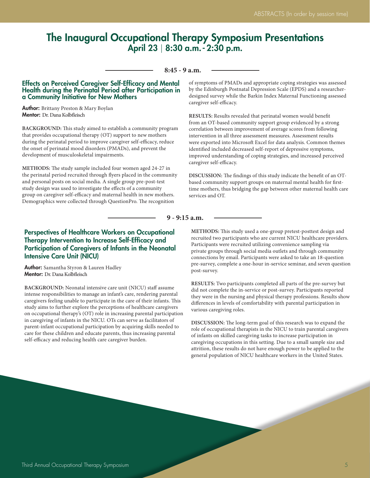## The Inaugural Occupational Therapy Symposium Presentations April 23 | 8:30 a.m. - 2:30 p.m.

#### **8:45 - 9 a.m.**

#### Effects on Perceived Caregiver Self-Efficacy and Mental Health during the Perinatal Period after Participation in a Community Initiative for New Mothers

**Author:** Brittany Preston & Mary Boylan Mentor: Dr. Dana Kolbfleisch

**BACKGROUND:** This study aimed to establish a community program that provides occupational therapy (OT) support to new mothers during the perinatal period to improve caregiver self-efficacy, reduce the onset of perinatal mood disorders (PMADs), and prevent the development of musculoskeletal impairments.

**METHODS:** The study sample included four women aged 24-27 in the perinatal period recruited through flyers placed in the community and personal posts on social media. A single group pre-post-test study design was used to investigate the effects of a community group on caregiver self-efficacy and maternal health in new mothers. Demographics were collected through QuestionPro. The recognition

of symptoms of PMADs and appropriate coping strategies was assessed by the Edinburgh Postnatal Depression Scale (EPDS) and a researcherdesigned survey while the Barkin Index Maternal Functioning assessed caregiver self-efficacy.

**RESULTS:** Results revealed that perinatal women would benefit from an OT-based community support group evidenced by a strong correlation between improvement of average scores from following intervention in all three assessment measures. Assessment results were exported into Microsoft Excel for data analysis. Common themes identified included decreased self-report of depressive symptoms, improved understanding of coping strategies, and increased perceived caregiver self-efficacy.

**DISCUSSION:** The findings of this study indicate the benefit of an OTbased community support groups on maternal mental health for firsttime mothers, thus bridging the gap between other maternal health care services and OT.

#### **9 - 9:15 a.m.**

#### Perspectives of Healthcare Workers on Occupational Therapy Intervention to Increase Self-Efficacy and Participation of Caregivers of Infants in the Neonatal Intensive Care Unit (NICU)

Author: Samantha Styron & Lauren Hadley Mentor: Dr. Dana Kolbfleisch

**BACKGROUND:** Neonatal intensive care unit (NICU) staff assume intense responsibilities to manage an infant's care, rendering parental caregivers feeling unable to participate in the care of their infants. This study aims to further explore the perceptions of healthcare caregivers on occupational therapy's (OT) role in increasing parental participation in caregiving of infants in the NICU. OTs can serve as facilitators of parent-infant occupational participation by acquiring skills needed to care for these children and educate parents, thus increasing parental self-efficacy and reducing health care caregiver burden.

**METHODS:** This study used a one-group pretest-posttest design and recruited two participants who are current NICU healthcare providers. Participants were recruited utilizing convenience sampling via private groups through social media outlets and through community connections by email. Participants were asked to take an 18-question pre-survey, complete a one-hour in-service seminar, and seven question post-survey.

**RESULTS:** Two participants completed all parts of the pre-survey but did not complete the in-service or post-survey. Participants reported they were in the nursing and physical therapy professions. Results show differences in levels of comfortability with parental participation in various caregiving roles.

**DISCUSSION:** The long-term goal of this research was to expand the role of occupational therapists in the NICU to train parental caregivers of infants on skilled caregiving tasks to increase participation in caregiving occupations in this setting. Due to a small sample size and attrition, these results do not have enough power to be applied to the general population of NICU healthcare workers in the United States.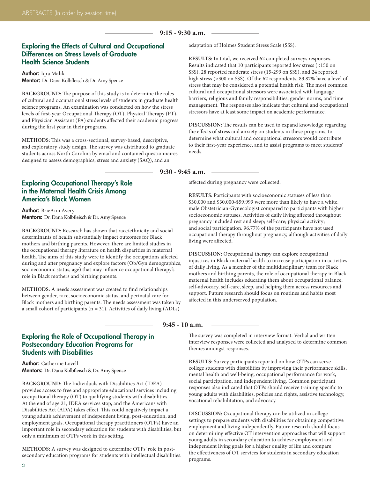#### **9:15 - 9:30 a.m.**

#### Exploring the Effects of Cultural and Occupational Differences on Stress Levels of Graduate Health Science Students

Author: Igra Malik Mentor: Dr. Dana Kolbfleisch & Dr. Amy Spence

**BACKGROUND:** The purpose of this study is to determine the roles of cultural and occupational stress levels of students in graduate health science programs. An examination was conducted on how the stress levels of first-year Occupational Therapy (OT), Physical Therapy (PT), and Physician Assistant (PA) students affected their academic progress during the first year in their programs.

**METHODS:** This was a cross-sectional, survey-based, descriptive, and exploratory study design. The survey was distributed to graduate students across North Carolina by email and contained questionnaires designed to assess demographics, stress and anxiety (SAQ), and an

Exploring Occupational Therapy's Role in the Maternal Health Crisis Among America's Black Women

Author: BrieAnn Avery Mentors: Dr. Dana Kolbfleisch & Dr. Amy Spence

**BACKGROUND:** Research has shown that race/ethnicity and social determinants of health substantially impact outcomes for Black mothers and birthing parents. However, there are limited studies in the occupational therapy literature on health disparities in maternal health. The aims of this study were to identify the occupations affected during and after pregnancy and explore factors (Ob/Gyn demographics, socioeconomic status, age) that may influence occupational therapy's role in Black mothers and birthing parents.

**METHODS:** A needs assessment was created to find relationships between gender, race, socioeconomic status, and perinatal care for Black mothers and birthing parents. The needs assessment was taken by a small cohort of participants ( $n = 31$ ). Activities of daily living (ADLs)

adaptation of Holmes Student Stress Scale (SSS).

**RESULTS:** In total, we received 62 completed surveys responses. Results indicated that 10 participants reported low stress (<150 on SSS), 28 reported moderate stress (15-299 on SSS), and 24 reported high stress (>300 on SSS). Of the 62 respondents, 83.87% have a level of stress that may be considered a potential health risk. The most common cultural and occupational stressors were associated with language barriers, religious and family responsibilities, gender norms, and time management. The responses also indicate that cultural and occupational stressors have at least some impact on academic performance.

**DISCUSSION:** The results can be used to expand knowledge regarding the effects of stress and anxiety on students in these programs, to determine what cultural and occupational stressors would contribute to their first-year experience, and to assist programs to meet students' needs.

**9:30 - 9:45 a.m.**

 $\overline{\phantom{a}}$ 

affected during pregnancy were collected.

**RESULTS:** Participants with socioeconomic statuses of less than \$30,000 and \$30,000-\$59,999 were more than likely to have a white, male Obstetrician-Gynecologist compared to participants with higher socioeconomic statuses. Activities of daily living affected throughout pregnancy included rest and sleep; self-care; physical activity; and social participation. 96.77% of the participants have not used occupational therapy throughout pregnancy, although activities of daily living were affected.

**DISCUSSION:** Occupational therapy can explore occupational injustices in Black maternal health to increase participation in activities of daily living. As a member of the multidisciplinary team for Black mothers and birthing parents, the role of occupational therapy in Black maternal health includes educating them about occupational balance, self-advocacy, self-care, sleep, and helping them access resources and support. Future research should focus on routines and habits most affected in this underserved population.

#### **9:45 - 10 a.m.**

#### Exploring the Role of Occupational Therapy in Postsecondary Education Programs for Students with Disabilities

Author: Catherine Lovell Mentors: Dr. Dana Kolbfleisch & Dr. Amy Spence

**BACKGROUND:** The Individuals with Disabilities Act (IDEA) provides access to free and appropriate educational services including occupational therapy (OT) to qualifying students with disabilities. At the end of age 21, IDEA services stop, and the Americans with Disabilities Act (ADA) takes effect. This could negatively impact a young adult's achievement of independent living, post-education, and employment goals. Occupational therapy practitioners (OTPs) have an important role in secondary education for students with disabilities, but only a minimum of OTPs work in this setting.

**METHODS:** A survey was designed to determine OTPs' role in postsecondary education programs for students with intellectual disabilities. The survey was completed in interview format. Verbal and written interview responses were collected and analyzed to determine common themes amongst responses.

**RESULTS:** Survey participants reported on how OTPs can serve college students with disabilities by improving their performance skills, mental health and well-being, occupational performance for work, social participation, and independent living. Common participant responses also indicated that OTPs should receive training specific to young adults with disabilities, policies and rights, assistive technology, vocational rehabilitation, and advocacy.

**DISCUSSION:** Occupational therapy can be utilized in college settings to prepare students with disabilities for obtaining competitive employment and living independently. Future research should focus on determining effective OT intervention approaches that will support young adults in secondary education to achieve employment and independent living goals for a higher quality of life and compare the effectiveness of OT services for students in secondary education programs.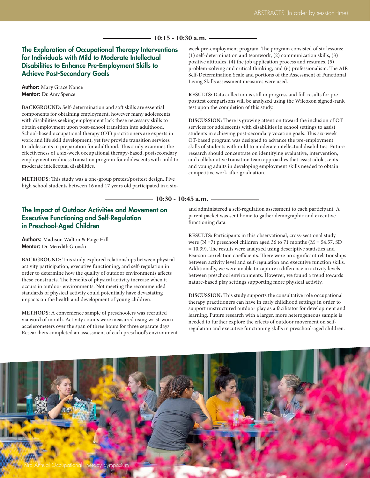#### **10:15 - 10:30 a.m.**

**10:30 - 10:45 a.m.**

#### The Exploration of Occupational Therapy Interventions for Individuals with Mild to Moderate Intellectual Disabilities to Enhance Pre-Employment Skills to Achieve Post-Secondary Goals

Author: Mary Grace Nance Mentor: Dr. Amy Spence

**BACKGROUND:** Self-determination and soft skills are essential components for obtaining employment, however many adolescents with disabilities seeking employment lack these necessary skills to obtain employment upon post-school transition into adulthood. School-based occupational therapy (OT) practitioners are experts in work and life skill development, yet few provide transition services to adolescents in preparation for adulthood. This study examines the effectiveness of a six-week occupational therapy-based, postsecondary employment readiness transition program for adolescents with mild to moderate intellectual disabilities.

**METHODS:** This study was a one-group pretest/posttest design. Five high school students between 16 and 17 years old participated in a six-

#### The Impact of Outdoor Activities and Movement on Executive Functioning and Self-Regulation in Preschool-Aged Children

Authors: Madison Walton & Paige Hill Mentor: Dr. Meredith Gronski

**BACKGROUND:** This study explored relationships between physical activity participation, executive functioning, and self-regulation in order to determine how the quality of outdoor environments affects these constructs. The benefits of physical activity increase when it occurs in outdoor environments. Not meeting the recommended standards of physical activity could potentially have devastating impacts on the health and development of young children.

**METHODS:** A convenience sample of preschoolers was recruited via word of mouth. Activity counts were measured using wrist-worn accelerometers over the span of three hours for three separate days. Researchers completed an assessment of each preschool's environment week pre-employment program. The program consisted of six lessons: (1) self-determination and teamwork, (2) communication skills, (3) positive attitudes, (4) the job application process and resumes, (5) problem-solving and critical thinking, and (6) professionalism. The AIR Self-Determination Scale and portions of the Assessment of Functional Living Skills assessment measures were used.

**RESULTS:** Data collection is still in progress and full results for preposttest comparisons will be analyzed using the Wilcoxon signed-rank test upon the completion of this study.

**DISCUSSION:** There is growing attention toward the inclusion of OT services for adolescents with disabilities in school settings to assist students in achieving post-secondary vocation goals. This six-week OT-based program was designed to advance the pre-employment skills of students with mild to moderate intellectual disabilities. Future research should concentrate on identifying evaluative, intervention, and collaborative transition team approaches that assist adolescents and young adults in developing employment skills needed to obtain competitive work after graduation.

and administered a self-regulation assessment to each participant. A parent packet was sent home to gather demographic and executive functioning data.

**RESULTS:** Participants in this observational, cross-sectional study were  $(N = 7)$  preschool children aged 36 to 71 months  $(M = 54.57, SD$ = 10.39). The results were analyzed using descriptive statistics and Pearson correlation coefficients. There were no significant relationships between activity level and self-regulation and executive function skills. Additionally, we were unable to capture a difference in activity levels between preschool environments. However, we found a trend towards nature-based play settings supporting more physical activity.

**DISCUSSION:** This study supports the consultative role occupational therapy practitioners can have in early childhood settings in order to support unstructured outdoor play as a facilitator for development and learning. Future research with a larger, more heterogeneous sample is needed to further explore the effects of outdoor movement on selfregulation and executive functioning skills in preschool-aged children.

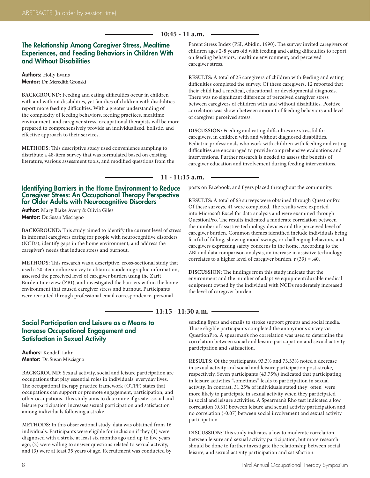#### **10:45 - 11 a.m.**

#### The Relationship Among Caregiver Stress, Mealtime Experiences, and Feeding Behaviors in Children With and Without Disabilities

Authors: Holly Evans Mentor: Dr. Meredith Gronski

**BACKGROUND:** Feeding and eating difficulties occur in children with and without disabilities, yet families of children with disabilities report more feeding difficulties. With a greater understanding of the complexity of feeding behaviors, feeding practices, mealtime environment, and caregiver stress, occupational therapists will be more prepared to comprehensively provide an individualized, holistic, and effective approach to their services.

**METHODS:** This descriptive study used convenience sampling to distribute a 48-item survey that was formulated based on existing literature, various assessment tools, and modified questions from the

#### Identifying Barriers in the Home Environment to Reduce Caregiver Stress: An Occupational Therapy Perspective for Older Adults with Neurocognitive Disorders

Author: Mary Blake Avery & Olivia Giles Mentor: Dr. Susan Misciagno

**BACKGROUND:** This study aimed to identify the current level of stress in informal caregivers caring for people with neurocognitive disorders (NCDs), identify gaps in the home environment, and address the caregiver's needs that induce stress and burnout.

**METHODS:** This research was a descriptive, cross-sectional study that used a 20-item online survey to obtain sociodemographic information, assessed the perceived level of caregiver burden using the Zarit Burden Interview (ZBI), and investigated the barriers within the home environment that caused caregiver stress and burnout. Participants were recruited through professional email correspondence, personal

Parent Stress Index (PSI; Abidin, 1990). The survey invited caregivers of children ages 2-8 years old with feeding and eating difficulties to report on feeding behaviors, mealtime environment, and perceived caregiver stress.

**RESULTS:** A total of 25 caregivers of children with feeding and eating difficulties completed the survey. Of these caregivers, 12 reported that their child had a medical, educational, or developmental diagnosis. There was no significant difference of perceived caregiver stress between caregivers of children with and without disabilities. Positive correlation was shown between amount of feeding behaviors and level of caregiver perceived stress.

**DISCUSSION:** Feeding and eating difficulties are stressful for caregivers, in children with and without diagnosed disabilities. Pediatric professionals who work with children with feeding and eating difficulties are encouraged to provide comprehensive evaluations and interventions. Further research is needed to assess the benefits of caregiver education and involvement during feeding interventions.

**11 - 11:15 a.m.**

posts on Facebook, and flyers placed throughout the community.

**RESULTS:** A total of 63 surveys were obtained through QuestionPro. Of these surveys, 41 were completed. The results were exported into Microsoft Excel for data analysis and were examined through QuestionPro. The results indicated a moderate correlation between the number of assistive technology devices and the perceived level of caregiver burden. Common themes identified include individuals being fearful of falling, showing mood swings, or challenging behaviors, and caregivers expressing safety concerns in the home. According to the ZBI and data comparison analysis, an increase in assistive technology correlates to a higher level of caregiver burden, r (39) = .40.

**DISCUSSION:** The findings from this study indicate that the environment and the number of adaptive equipment/durable medical equipment owned by the individual with NCDs moderately increased the level of caregiver burden.

#### **11:15 - 11:30 a.m.**

#### Social Participation and Leisure as a Means to Increase Occupational Engagement and Satisfaction in Sexual Activity

Authors: Kendall Lahr Mentor: Dr. Susan Misciagno

**BACKGROUND:** Sexual activity, social and leisure participation are occupations that play essential roles in individuals' everyday lives. The occupational therapy practice framework (OTPF) states that occupations can support or promote engagement, participation, and other occupations. This study aims to determine if greater social and leisure participation increases sexual participation and satisfaction among individuals following a stroke.

**METHODS:** In this observational study, data was obtained from 16 individuals. Participants were eligible for inclusion if they (1) were diagnosed with a stroke at least six months ago and up to five years ago, (2) were willing to answer questions related to sexual activity, and (3) were at least 35 years of age. Recruitment was conducted by sending flyers and emails to stroke support groups and social media. Those eligible participants completed the anonymous survey via QuestionPro. A spearman's rho correlation was used to determine the correlation between social and leisure participation and sexual activity participation and satisfaction.

**RESULTS:** Of the participants, 93.3% and 73.33% noted a decrease in sexual activity and social and leisure participation post-stroke, respectively. Seven participants (43.75%) indicated that participating in leisure activities "sometimes" leads to participation in sexual activity. In contrast, 31.25% of individuals stated they "often" were more likely to participate in sexual activity when they participated in social and leisure activities. A Spearman's Rho test indicated a low correlation (0.31) between leisure and sexual activity participation and no correlation (-0.07) between social involvement and sexual activity participation.

**DISCUSSION:** This study indicates a low to moderate correlation between leisure and sexual activity participation, but more research should be done to further investigate the relationship between social, leisure, and sexual activity participation and satisfaction.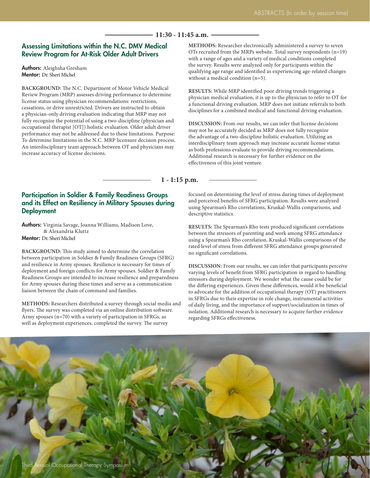#### **11:30 - 11:45 a.m.**

#### Assessing Limitations within the N.C. DMV Medical Review Program for At-Risk Older Adult Drivers

Authors: Aleighsha Gresham Mentor: Dr. Sheri Michel

**BACKGROUND:** The N.C. Department of Motor Vehicle Medical Review Program (MRP) assesses driving performance to determine license status using physician recommendations: restrictions, cessations, or drive unrestricted. Drivers are instructed to obtain a physician-only driving evaluation indicating that MRP may not fully recognize the potential of using a two-discipline (physician and occupational therapist [OT]) holistic evaluation. Older adult driver performance may not be addressed due to these limitations. Purpose: To determine limitations in the N.C. MRP licensure decision process. An interdisciplinary team approach between OT and physicians may increase accuracy of license decisions.

**METHODS:** Researcher electronically administered a survey to seven OTs recruited from the MRPs website. Total survey respondents (n=19) with a range of ages and a variety of medical conditions completed the survey. Results were analyzed only for participants within the qualifying age range and identified as experiencing age-related changes without a medical condition (n=5).

**RESULTS:** While MRP identified poor driving trends triggering a physician medical evaluation, it is up to the physician to refer to OT for a functional driving evaluation. MRP does not initiate referrals to both disciplines for a combined medical and functional driving evaluation.

**DISCUSSION:** From our results, we can infer that license decisions may not be accurately decided as MRP does not fully recognize the advantage of a two-discipline holistic evaluation. Utilizing an interdisciplinary team approach may increase accurate license status as both professions evaluate to provide driving recommendations. Additional research is necessary for further evidence on the effectiveness of this joint venture.

**1 - 1:15 p.m.**

#### Participation in Soldier & Family Readiness Groups and its Effect on Resiliency in Military Spouses during **Deployment**

Authors: Virginia Savage, Joanna Williams, Madison Love, & Alexandria Kluttz Mentor: Dr. Sheri Michel

**BACKGROUND:** This study aimed to determine the correlation between participation in Soldier & Family Readiness Groups (SFRG) and resilience in Army spouses. Resilience is necessary for times of deployment and foreign conflicts for Army spouses. Soldier & Family Readiness Groups are intended to increase resilience and preparedness for Army spouses during these times and serve as a communication liaison between the chain of command and families.

**METHODS:** Researchers distributed a survey through social media and flyers. The survey was completed via an online distribution software. Army spouses (n=70) with a variety of participation in SFRGs, as well as deployment experiences, completed the survey. The survey

focused on determining the level of stress during times of deployment and perceived benefits of SFRG participation. Results were analyzed using Spearman's Rho correlations, Kruskal-Wallis comparisons, and descriptive statistics.

**RESULTS:** The Spearman's Rho tests produced significant correlations between the stressors of parenting and work among SFRG attendance using a Spearman's Rho correlation. Kruskal-Wallis comparisons of the rated level of stress from different SFRG attendance groups generated no significant correlations.

**DISCUSSION:** From our results, we can infer that participants perceive varying levels of benefit from SFRG participation in regard to handling stressors during deployment. We wonder what the cause could be for the differing experiences. Given these differences, would it be beneficial to advocate for the addition of occupational therapy (OT) practitioners in SFRGs due to their expertise in role change, instrumental activities of daily living, and the importance of support/socialization in times of isolation. Additional research is necessary to acquire further evidence regarding SFRGs effectiveness.

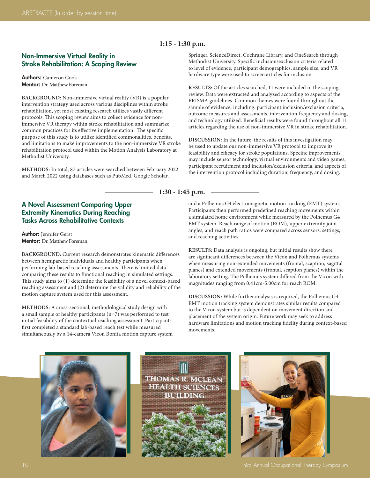#### **1:15 - 1:30 p.m.**

#### Non-Immersive Virtual Reality in Stroke Rehabilitation: A Scoping Review

Authors: Cameron Cook Mentor: Dr. Matthew Foreman

**BACKGROUND:** Non-immersive virtual reality (VR) is a popular intervention strategy used across various disciplines within stroke rehabilitation, yet most existing research utilizes vastly different protocols. This scoping review aims to collect evidence for nonimmersive VR therapy within stroke rehabilitation and summarize common practices for its effective implementation. The specific purpose of this study is to utilize identified commonalities, benefits, and limitations to make improvements to the non-immersive VR stroke rehabilitation protocol used within the Motion Analysis Laboratory at Methodist University.

**METHODS: I**n total, 87 articles were searched between February 2022 and March 2022 using databases such as PubMed, Google Scholar,

#### A Novel Assessment Comparing Upper Extremity Kinematics During Reaching Tasks Across Rehabilitative Contexts

Author: Jennifer Gerst Mentor: Dr. Matthew Foreman

**BACKGROUND:** Current research demonstrates kinematic differences between hemiparetic individuals and healthy participants when performing lab-based reaching assessments. There is limited data comparing these results to functional reaching in simulated settings. This study aims to (1) determine the feasibility of a novel context-based reaching assessment and (2) determine the validity and reliability of the motion capture system used for this assessment.

**METHODS:** A cross-sectional, methodological study design with a small sample of healthy participants (n=7) was performed to test initial feasibility of the contextual reaching assessment. Participants first completed a standard lab-based reach test while measured simultaneously by a 14-camera Vicon Bonita motion capture system Springer, ScienceDirect, Cochrane Library, and OneSearch through Methodist University. Specific inclusion/exclusion criteria related to level of evidence, participant demographics, sample size, and VR hardware type were used to screen articles for inclusion.

**RESULTS:** Of the articles searched, 11 were included in the scoping review. Data were extracted and analyzed according to aspects of the PRISMA guidelines. Common themes were found throughout the sample of evidence, including: participant inclusion/exclusion criteria, outcome measures and assessments, intervention frequency and dosing, and technology utilized. Beneficial results were found throughout all 11 articles regarding the use of non-immersive VR in stroke rehabilitation.

**DISCUSSION:** In the future, the results of this investigation may be used to update our non-immersive VR protocol to improve its feasibility and efficacy for stroke populations. Specific improvements may include sensor technology, virtual environments and video games, participant recruitment and inclusion/exclusion criteria, and aspects of the intervention protocol including duration, frequency, and dosing.

**1:30 - 1:45 p.m.**

and a Polhemus G4 electromagnetic motion tracking (EMT) system. Participants then performed predefined reaching movements within a simulated home environment while measured by the Polhemus G4 EMT system. Reach range of motion (ROM), upper extremity joint angles, and reach path ratios were compared across sensors, settings, and reaching activities.

**RESULTS:** Data analysis is ongoing, but initial results show there are significant differences between the Vicon and Polhemus systems when measuring non-extended movements (frontal, scaption, sagittal planes) and extended movements (frontal, scaption planes) within the laboratory setting. The Polhemus system differed from the Vicon with magnitudes ranging from 0.41cm-5.00cm for reach ROM.

**DISCUSSION:** While further analysis is required, the Polhemus G4 EMT motion tracking system demonstrates similar results compared to the Vicon system but is dependent on movement direction and placement of the system origin. Future work may seek to address hardware limitations and motion tracking fidelity during context-based movements.





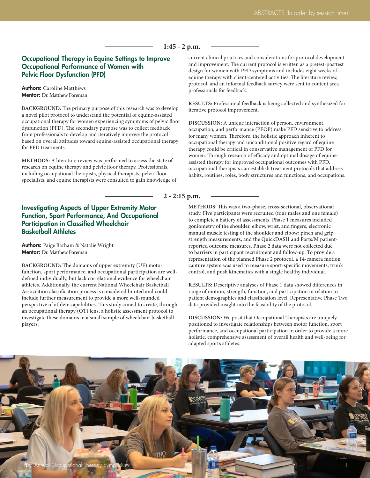#### **1:45 - 2 p.m.**

#### Occupational Therapy in Equine Settings to Improve Occupational Performance of Women with Pelvic Floor Dysfunction (PFD)

#### Authors: Caroline Matthews Mentor: Dr. Matthew Foreman

**BACKGROUND:** The primary purpose of this research was to develop a novel pilot protocol to understand the potential of equine-assisted occupational therapy for women experiencing symptoms of pelvic floor dysfunction (PFD). The secondary purpose was to collect feedback from professionals to develop and iteratively improve the protocol based on overall attitudes toward equine-assisted occupational therapy for PFD treatments.

**METHODS:** A literature review was performed to assess the state of research on equine therapy and pelvic floor therapy. Professionals, including occupational therapists, physical therapists, pelvic floor specialists, and equine therapists were consulted to gain knowledge of

#### Investigating Aspects of Upper Extremity Motor Function, Sport Performance, And Occupational Participation in Classified Wheelchair Basketball Athletes

Authors: Paige Barham & Natalie Wright Mentor: Dr. Matthew Foreman

**BACKGROUND: T**he domains of upper extremity (UE) motor function, sport performance, and occupational participation are welldefined individually, but lack correlational evidence for wheelchair athletes. Additionally, the current National Wheelchair Basketball Association classification process is considered limited and could include further measurement to provide a more well-rounded perspective of athlete capabilities. This study aimed to create, through an occupational therapy (OT) lens, a holistic assessment protocol to investigate these domains in a small sample of wheelchair basketball players.

current clinical practices and considerations for protocol development and improvement. The current protocol is written as a pretest-posttest design for women with PFD symptoms and includes eight weeks of equine therapy with client-centered activities. The literature review, protocol, and an informal feedback survey were sent to content area professionals for feedback.

**RESULTS:** Professional feedback is being collected and synthesized for iterative protocol improvement.

**DISCUSSION:** A unique interaction of person, environment, occupation, and performance (PEOP) make PFD sensitive to address for many women. Therefore, the holistic approach inherent to occupational therapy and unconditional positive regard of equine therapy could be critical in conservative management of PFD for women. Through research of efficacy and optimal dosage of equineassisted therapy for improved occupational outcomes with PFD, occupational therapists can establish treatment protocols that address habits, routines, roles, body structures and functions, and occupations.

**2 - 2:15 p.m.**

**METHODS:** This was a two-phase, cross-sectional, observational study. Five participants were recruited (four males and one female) to complete a battery of assessments. Phase 1 measures included goniometry of the shoulder, elbow, wrist, and fingers; electronic manual muscle testing of the shoulder and elbow; pinch and grip strength measurements; and the QuickDASH and Parts/M patientreported outcome measures. Phase 2 data were not collected due to barriers in participant recruitment and follow-up. To provide a representation of the planned Phase 2 protocol, a 14-camera motion capture system was used to measure sport-specific movements, trunk control, and push kinematics with a single healthy individual.

**RESULTS:** Descriptive analyses of Phase 1 data showed differences in range of motion, strength, function, and participation in relation to patient demographics and classification level. Representative Phase Two data provided insight into the feasibility of the protocol.

**DISCUSSION:** We posit that Occupational Therapists are uniquely positioned to investigate relationships between motor function, sport performance, and occupational participation in order to provide a more holistic, comprehensive assessment of overall health and well-being for adapted sports athletes.